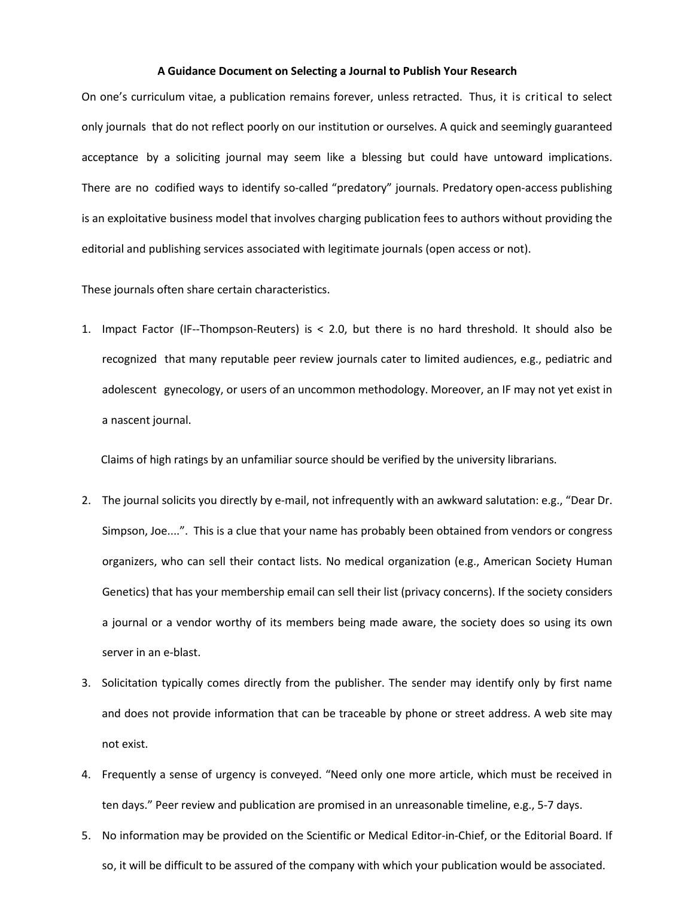## **A Guidance Document on Selecting a Journal to Publish Your Research**

On one's curriculum vitae, a publication remains forever, unless retracted. Thus, it is critical to select only journals that do not reflect poorly on our institution or ourselves. A quick and seemingly guaranteed acceptance by a soliciting journal may seem like a blessing but could have untoward implications. There are no codified ways to identify so-called "predatory" journals. Predatory open-access publishing is an exploitative business model that involves charging publication fees to authors without providing the editorial and publishing services associated with legitimate journals (open access or not).

These journals often share certain characteristics.

1. Impact Factor (IF--Thompson-Reuters) is < 2.0, but there is no hard threshold. It should also be recognized that many reputable peer review journals cater to limited audiences, e.g., pediatric and adolescent gynecology, or users of an uncommon methodology. Moreover, an IF may not yet exist in a nascent journal.

Claims of high ratings by an unfamiliar source should be verified by the university librarians.

- 2. The journal solicits you directly by e-mail, not infrequently with an awkward salutation: e.g., "Dear Dr. Simpson, Joe....". This is a clue that your name has probably been obtained from vendors or congress organizers, who can sell their contact lists. No medical organization (e.g., American Society Human Genetics) that has your membership email can sell their list (privacy concerns). If the society considers a journal or a vendor worthy of its members being made aware, the society does so using its own server in an e-blast.
- 3. Solicitation typically comes directly from the publisher. The sender may identify only by first name and does not provide information that can be traceable by phone or street address. A web site may not exist.
- 4. Frequently a sense of urgency is conveyed. "Need only one more article, which must be received in ten days." Peer review and publication are promised in an unreasonable timeline, e.g., 5-7 days.
- 5. No information may be provided on the Scientific or Medical Editor-in-Chief, or the Editorial Board. If so, it will be difficult to be assured of the company with which your publication would be associated.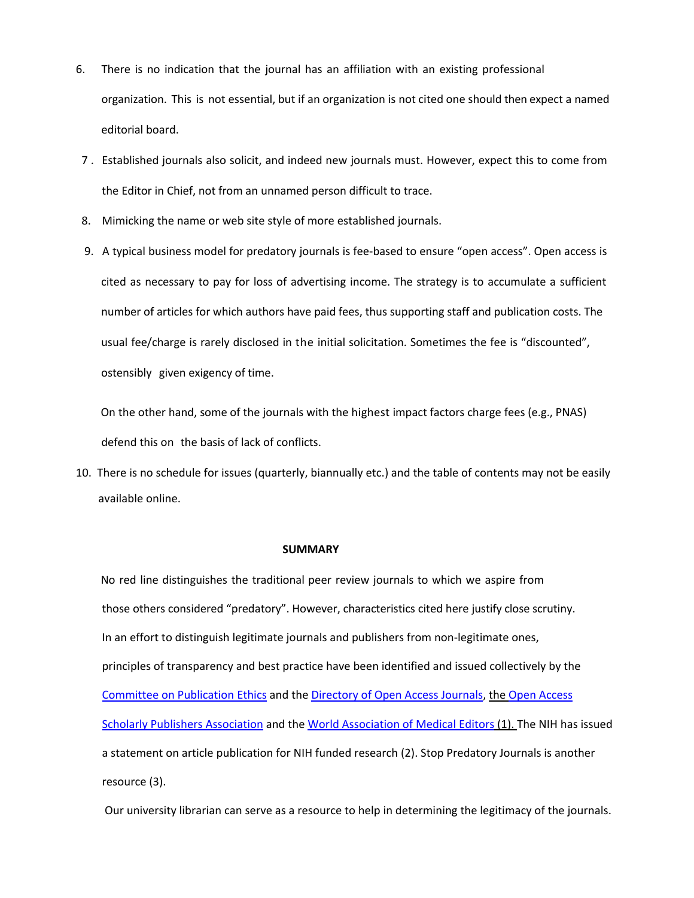- 6. There is no indication that the journal has an affiliation with an existing professional organization. This is not essential, but if an organization is not cited one should then expect a named editorial board.
- 7 . Established journals also solicit, and indeed new journals must. However, expect this to come from the Editor in Chief, not from an unnamed person difficult to trace.
- 8. Mimicking the name or web site style of more established journals.
- 9. A typical business model for predatory journals is fee-based to ensure "open access". Open access is cited as necessary to pay for loss of advertising income. The strategy is to accumulate a sufficient number of articles for which authors have paid fees, thus supporting staff and publication costs. The usual fee/charge is rarely disclosed in the initial solicitation. Sometimes the fee is "discounted", ostensibly given exigency of time.

 On the other hand, some of the journals with the highest impact factors charge fees (e.g., PNAS) defend this on the basis of lack of conflicts.

10. There is no schedule for issues (quarterly, biannually etc.) and the table of contents may not be easily available online.

## **SUMMARY**

No red line distinguishes the traditional peer review journals to which we aspire from those others considered "predatory". However, characteristics cited here justify close scrutiny. In an effort to distinguish legitimate journals and publishers from non-legitimate ones, principles of transparency and best practice have been identified and issued collectively by the [Committee on Publication Ethics](https://publicationethics.org/) and th[e Directory of Open Access Journals,](https://doaj.org/) the [Open Access](https://oaspa.org/)  [Scholarly Publishers Association](https://oaspa.org/) and th[e World Association of Medical Editors](http://www.wame.org/) (1). The NIH has issued a statement on article publication for NIH funded research (2). Stop Predatory Journals is another resource (3).

Our university librarian can serve as a resource to help in determining the legitimacy of the journals.